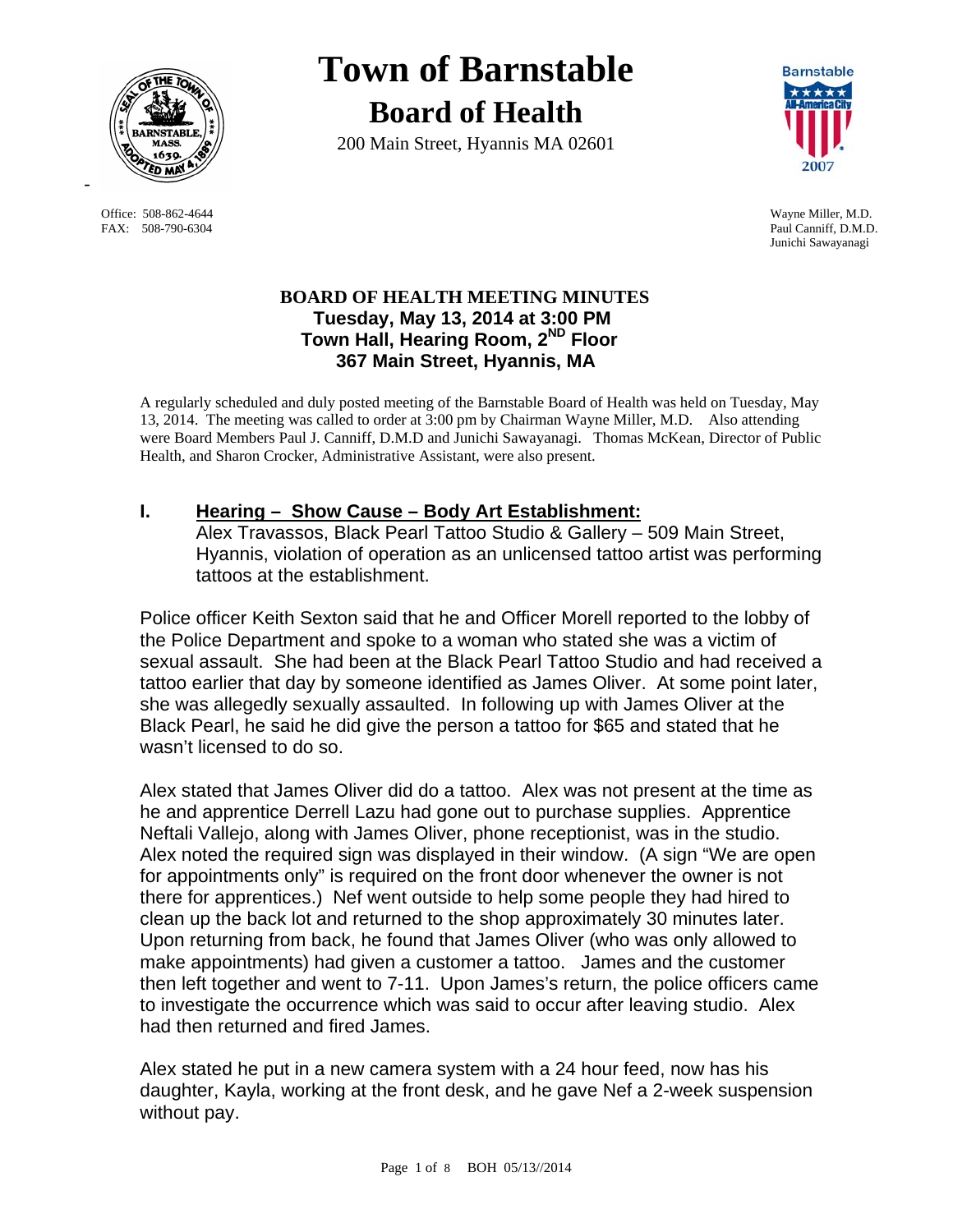

FAX: 508-790-6304 Paul Canniff, D.M.D.

# **Town of Barnstable Board of Health**

200 Main Street, Hyannis MA 02601



 Office: 508-862-4644 Wayne Miller, M.D. Junichi Sawayanagi

## **BOARD OF HEALTH MEETING MINUTES Tuesday, May 13, 2014 at 3:00 PM Town Hall, Hearing Room, 2ND Floor 367 Main Street, Hyannis, MA**

A regularly scheduled and duly posted meeting of the Barnstable Board of Health was held on Tuesday, May 13, 2014. The meeting was called to order at 3:00 pm by Chairman Wayne Miller, M.D. Also attending were Board Members Paul J. Canniff, D.M.D and Junichi Sawayanagi. Thomas McKean, Director of Public Health, and Sharon Crocker, Administrative Assistant, were also present.

## **I. Hearing – Show Cause – Body Art Establishment:**

Alex Travassos, Black Pearl Tattoo Studio & Gallery – 509 Main Street, Hyannis, violation of operation as an unlicensed tattoo artist was performing tattoos at the establishment.

Police officer Keith Sexton said that he and Officer Morell reported to the lobby of the Police Department and spoke to a woman who stated she was a victim of sexual assault. She had been at the Black Pearl Tattoo Studio and had received a tattoo earlier that day by someone identified as James Oliver. At some point later, she was allegedly sexually assaulted. In following up with James Oliver at the Black Pearl, he said he did give the person a tattoo for \$65 and stated that he wasn't licensed to do so.

Alex stated that James Oliver did do a tattoo. Alex was not present at the time as he and apprentice Derrell Lazu had gone out to purchase supplies. Apprentice Neftali Vallejo, along with James Oliver, phone receptionist, was in the studio. Alex noted the required sign was displayed in their window. (A sign "We are open for appointments only" is required on the front door whenever the owner is not there for apprentices.) Nef went outside to help some people they had hired to clean up the back lot and returned to the shop approximately 30 minutes later. Upon returning from back, he found that James Oliver (who was only allowed to make appointments) had given a customer a tattoo. James and the customer then left together and went to 7-11. Upon James's return, the police officers came to investigate the occurrence which was said to occur after leaving studio. Alex had then returned and fired James.

Alex stated he put in a new camera system with a 24 hour feed, now has his daughter, Kayla, working at the front desk, and he gave Nef a 2-week suspension without pay.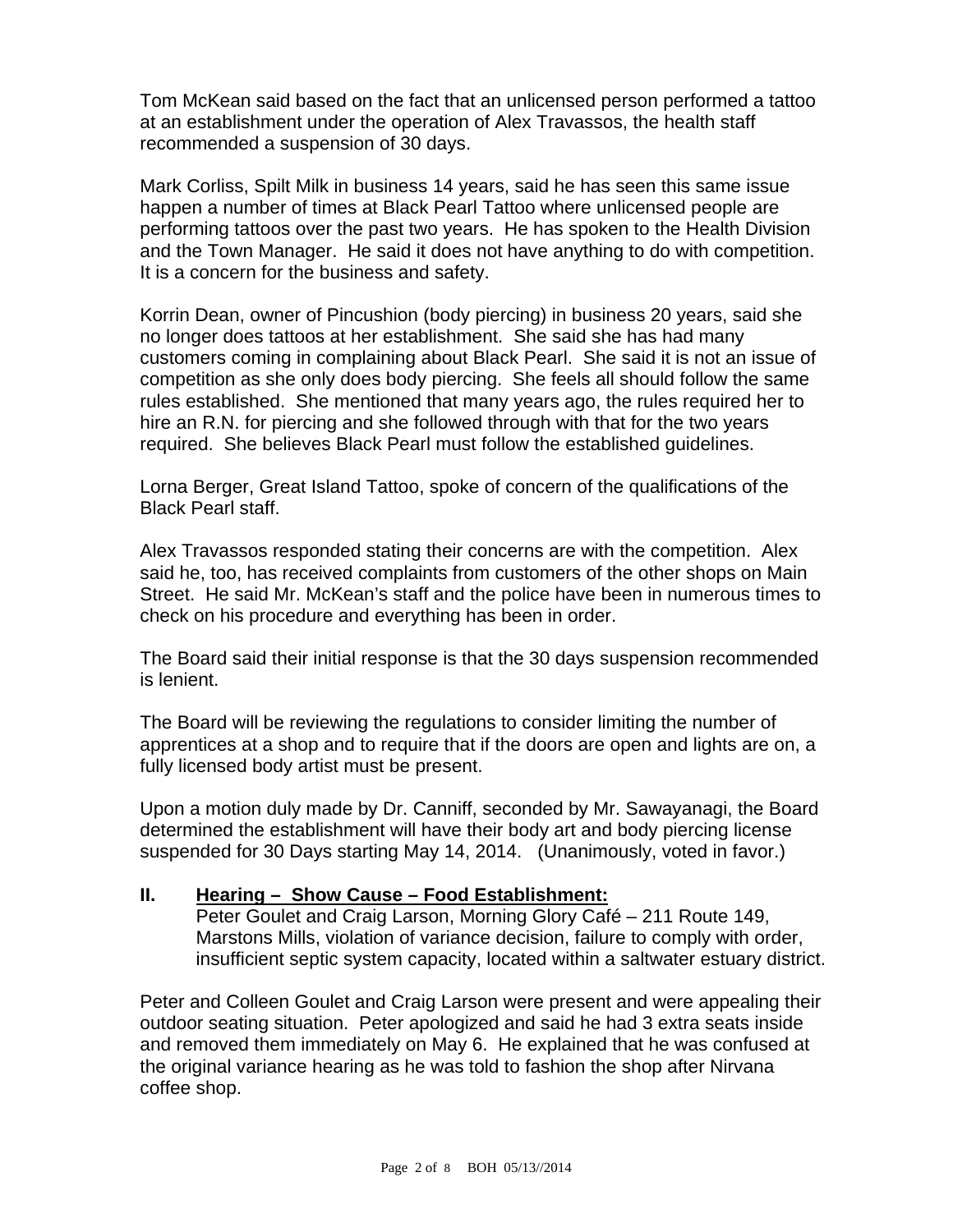Tom McKean said based on the fact that an unlicensed person performed a tattoo at an establishment under the operation of Alex Travassos, the health staff recommended a suspension of 30 days.

Mark Corliss, Spilt Milk in business 14 years, said he has seen this same issue happen a number of times at Black Pearl Tattoo where unlicensed people are performing tattoos over the past two years. He has spoken to the Health Division and the Town Manager. He said it does not have anything to do with competition. It is a concern for the business and safety.

Korrin Dean, owner of Pincushion (body piercing) in business 20 years, said she no longer does tattoos at her establishment. She said she has had many customers coming in complaining about Black Pearl. She said it is not an issue of competition as she only does body piercing. She feels all should follow the same rules established. She mentioned that many years ago, the rules required her to hire an R.N. for piercing and she followed through with that for the two years required. She believes Black Pearl must follow the established guidelines.

Lorna Berger, Great Island Tattoo, spoke of concern of the qualifications of the Black Pearl staff.

Alex Travassos responded stating their concerns are with the competition. Alex said he, too, has received complaints from customers of the other shops on Main Street. He said Mr. McKean's staff and the police have been in numerous times to check on his procedure and everything has been in order.

The Board said their initial response is that the 30 days suspension recommended is lenient.

The Board will be reviewing the regulations to consider limiting the number of apprentices at a shop and to require that if the doors are open and lights are on, a fully licensed body artist must be present.

Upon a motion duly made by Dr. Canniff, seconded by Mr. Sawayanagi, the Board determined the establishment will have their body art and body piercing license suspended for 30 Days starting May 14, 2014. (Unanimously, voted in favor.)

#### **II. Hearing – Show Cause – Food Establishment:**

Peter Goulet and Craig Larson, Morning Glory Café – 211 Route 149, Marstons Mills, violation of variance decision, failure to comply with order, insufficient septic system capacity, located within a saltwater estuary district.

Peter and Colleen Goulet and Craig Larson were present and were appealing their outdoor seating situation. Peter apologized and said he had 3 extra seats inside and removed them immediately on May 6. He explained that he was confused at the original variance hearing as he was told to fashion the shop after Nirvana coffee shop.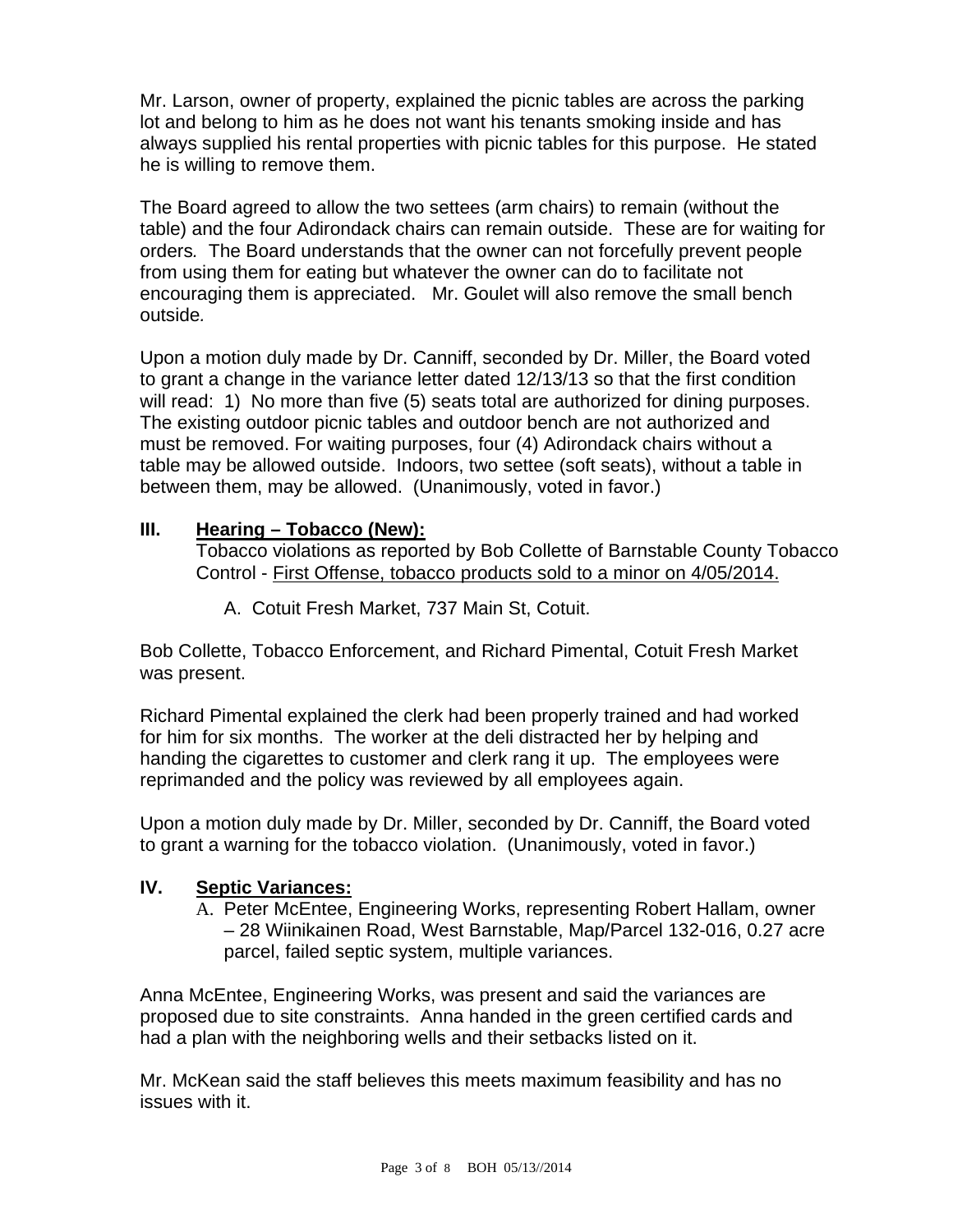Mr. Larson, owner of property, explained the picnic tables are across the parking lot and belong to him as he does not want his tenants smoking inside and has always supplied his rental properties with picnic tables for this purpose. He stated he is willing to remove them.

The Board agreed to allow the two settees (arm chairs) to remain (without the table) and the four Adirondack chairs can remain outside. These are for waiting for orders*.* The Board understands that the owner can not forcefully prevent people from using them for eating but whatever the owner can do to facilitate not encouraging them is appreciated. Mr. Goulet will also remove the small bench outside*.* 

Upon a motion duly made by Dr. Canniff, seconded by Dr. Miller, the Board voted to grant a change in the variance letter dated 12/13/13 so that the first condition will read: 1) No more than five (5) seats total are authorized for dining purposes. The existing outdoor picnic tables and outdoor bench are not authorized and must be removed. For waiting purposes, four (4) Adirondack chairs without a table may be allowed outside. Indoors, two settee (soft seats), without a table in between them, may be allowed. (Unanimously, voted in favor.)

## **III. Hearing – Tobacco (New):**

Tobacco violations as reported by Bob Collette of Barnstable County Tobacco Control - First Offense, tobacco products sold to a minor on 4/05/2014.

A. Cotuit Fresh Market, 737 Main St, Cotuit.

Bob Collette, Tobacco Enforcement, and Richard Pimental, Cotuit Fresh Market was present.

Richard Pimental explained the clerk had been properly trained and had worked for him for six months. The worker at the deli distracted her by helping and handing the cigarettes to customer and clerk rang it up. The employees were reprimanded and the policy was reviewed by all employees again.

Upon a motion duly made by Dr. Miller, seconded by Dr. Canniff, the Board voted to grant a warning for the tobacco violation. (Unanimously, voted in favor.)

#### **IV. Septic Variances:**

A. Peter McEntee, Engineering Works, representing Robert Hallam, owner – 28 Wiinikainen Road, West Barnstable, Map/Parcel 132-016, 0.27 acre parcel, failed septic system, multiple variances.

Anna McEntee, Engineering Works, was present and said the variances are proposed due to site constraints. Anna handed in the green certified cards and had a plan with the neighboring wells and their setbacks listed on it.

Mr. McKean said the staff believes this meets maximum feasibility and has no issues with it.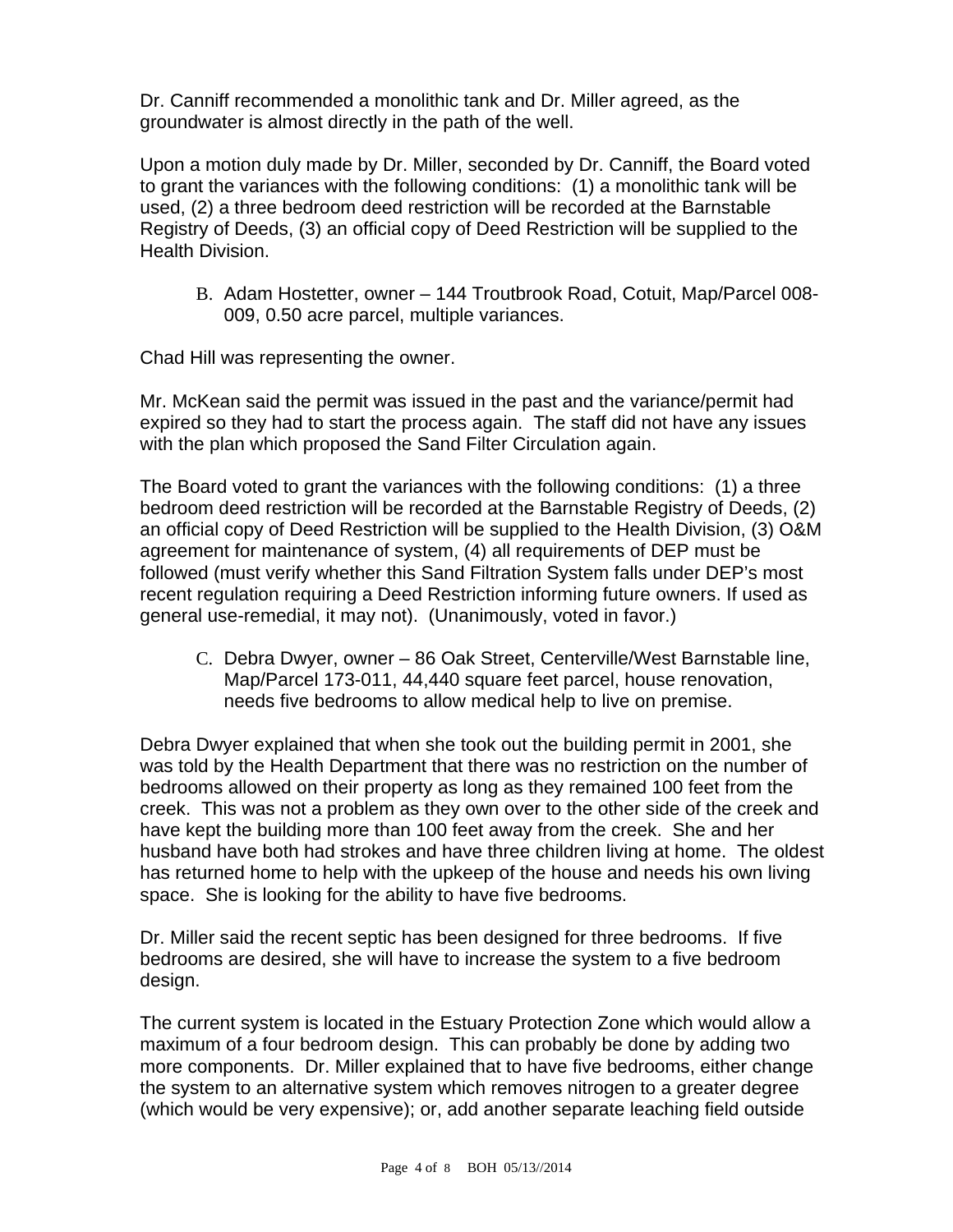Dr. Canniff recommended a monolithic tank and Dr. Miller agreed, as the groundwater is almost directly in the path of the well.

Upon a motion duly made by Dr. Miller, seconded by Dr. Canniff, the Board voted to grant the variances with the following conditions: (1) a monolithic tank will be used, (2) a three bedroom deed restriction will be recorded at the Barnstable Registry of Deeds, (3) an official copy of Deed Restriction will be supplied to the Health Division.

B. Adam Hostetter, owner – 144 Troutbrook Road, Cotuit, Map/Parcel 008- 009, 0.50 acre parcel, multiple variances.

Chad Hill was representing the owner.

Mr. McKean said the permit was issued in the past and the variance/permit had expired so they had to start the process again. The staff did not have any issues with the plan which proposed the Sand Filter Circulation again.

The Board voted to grant the variances with the following conditions: (1) a three bedroom deed restriction will be recorded at the Barnstable Registry of Deeds, (2) an official copy of Deed Restriction will be supplied to the Health Division, (3) O&M agreement for maintenance of system, (4) all requirements of DEP must be followed (must verify whether this Sand Filtration System falls under DEP's most recent regulation requiring a Deed Restriction informing future owners. If used as general use-remedial, it may not). (Unanimously, voted in favor.)

C. Debra Dwyer, owner – 86 Oak Street, Centerville/West Barnstable line, Map/Parcel 173-011, 44,440 square feet parcel, house renovation, needs five bedrooms to allow medical help to live on premise.

Debra Dwyer explained that when she took out the building permit in 2001, she was told by the Health Department that there was no restriction on the number of bedrooms allowed on their property as long as they remained 100 feet from the creek. This was not a problem as they own over to the other side of the creek and have kept the building more than 100 feet away from the creek. She and her husband have both had strokes and have three children living at home. The oldest has returned home to help with the upkeep of the house and needs his own living space. She is looking for the ability to have five bedrooms.

Dr. Miller said the recent septic has been designed for three bedrooms. If five bedrooms are desired, she will have to increase the system to a five bedroom design.

The current system is located in the Estuary Protection Zone which would allow a maximum of a four bedroom design. This can probably be done by adding two more components. Dr. Miller explained that to have five bedrooms, either change the system to an alternative system which removes nitrogen to a greater degree (which would be very expensive); or, add another separate leaching field outside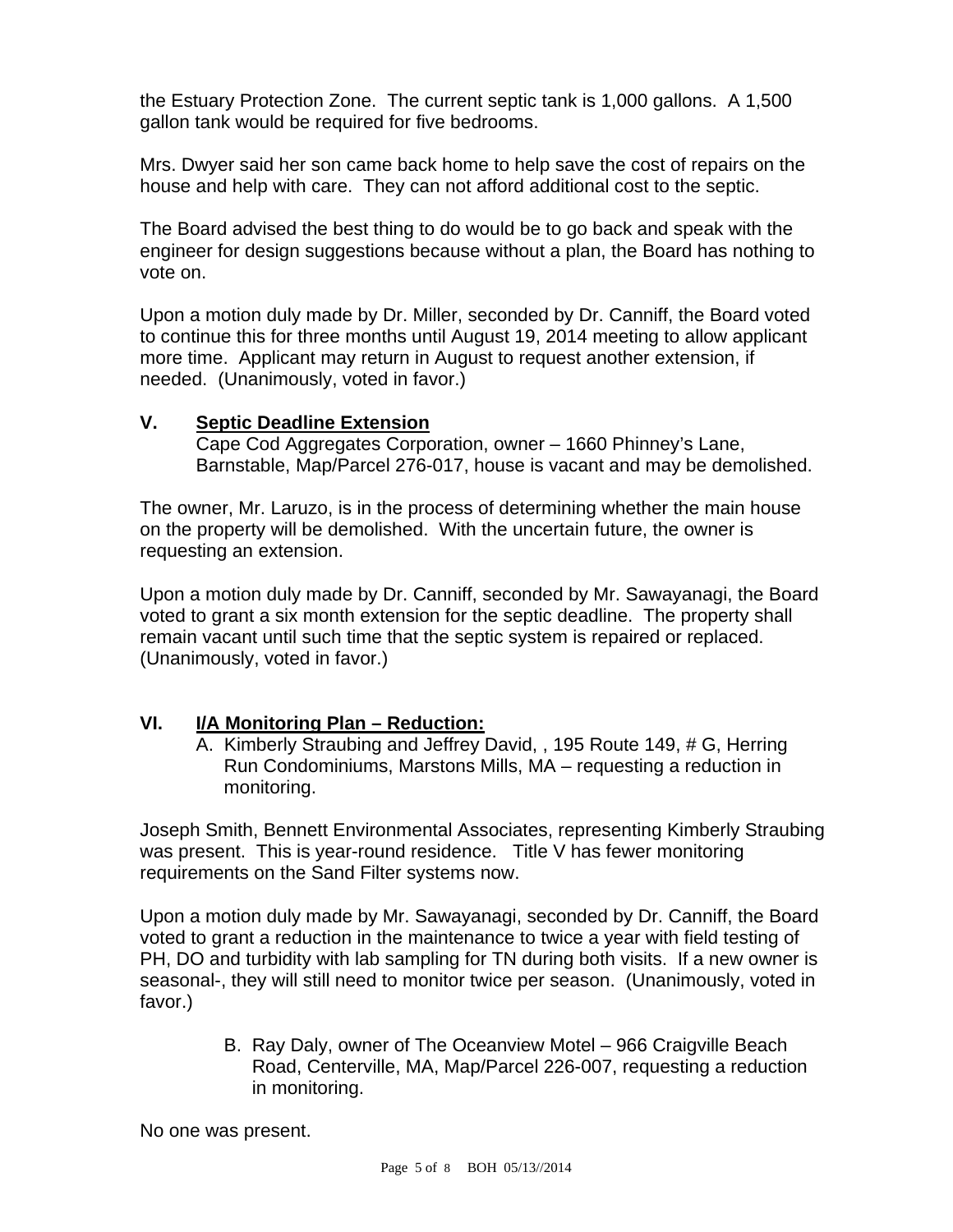the Estuary Protection Zone. The current septic tank is 1,000 gallons. A 1,500 gallon tank would be required for five bedrooms.

Mrs. Dwyer said her son came back home to help save the cost of repairs on the house and help with care. They can not afford additional cost to the septic.

The Board advised the best thing to do would be to go back and speak with the engineer for design suggestions because without a plan, the Board has nothing to vote on.

Upon a motion duly made by Dr. Miller, seconded by Dr. Canniff, the Board voted to continue this for three months until August 19, 2014 meeting to allow applicant more time. Applicant may return in August to request another extension, if needed. (Unanimously, voted in favor.)

#### **V. Septic Deadline Extension**

Cape Cod Aggregates Corporation, owner – 1660 Phinney's Lane, Barnstable, Map/Parcel 276-017, house is vacant and may be demolished.

The owner, Mr. Laruzo, is in the process of determining whether the main house on the property will be demolished. With the uncertain future, the owner is requesting an extension.

Upon a motion duly made by Dr. Canniff, seconded by Mr. Sawayanagi, the Board voted to grant a six month extension for the septic deadline. The property shall remain vacant until such time that the septic system is repaired or replaced. (Unanimously, voted in favor.)

#### **VI. I/A Monitoring Plan – Reduction:**

A. Kimberly Straubing and Jeffrey David, , 195 Route 149, # G, Herring Run Condominiums, Marstons Mills, MA – requesting a reduction in monitoring.

Joseph Smith, Bennett Environmental Associates, representing Kimberly Straubing was present. This is year-round residence. Title V has fewer monitoring requirements on the Sand Filter systems now.

Upon a motion duly made by Mr. Sawayanagi, seconded by Dr. Canniff, the Board voted to grant a reduction in the maintenance to twice a year with field testing of PH, DO and turbidity with lab sampling for TN during both visits. If a new owner is seasonal-, they will still need to monitor twice per season. (Unanimously, voted in favor.)

> B. Ray Daly, owner of The Oceanview Motel – 966 Craigville Beach Road, Centerville, MA, Map/Parcel 226-007, requesting a reduction in monitoring.

No one was present.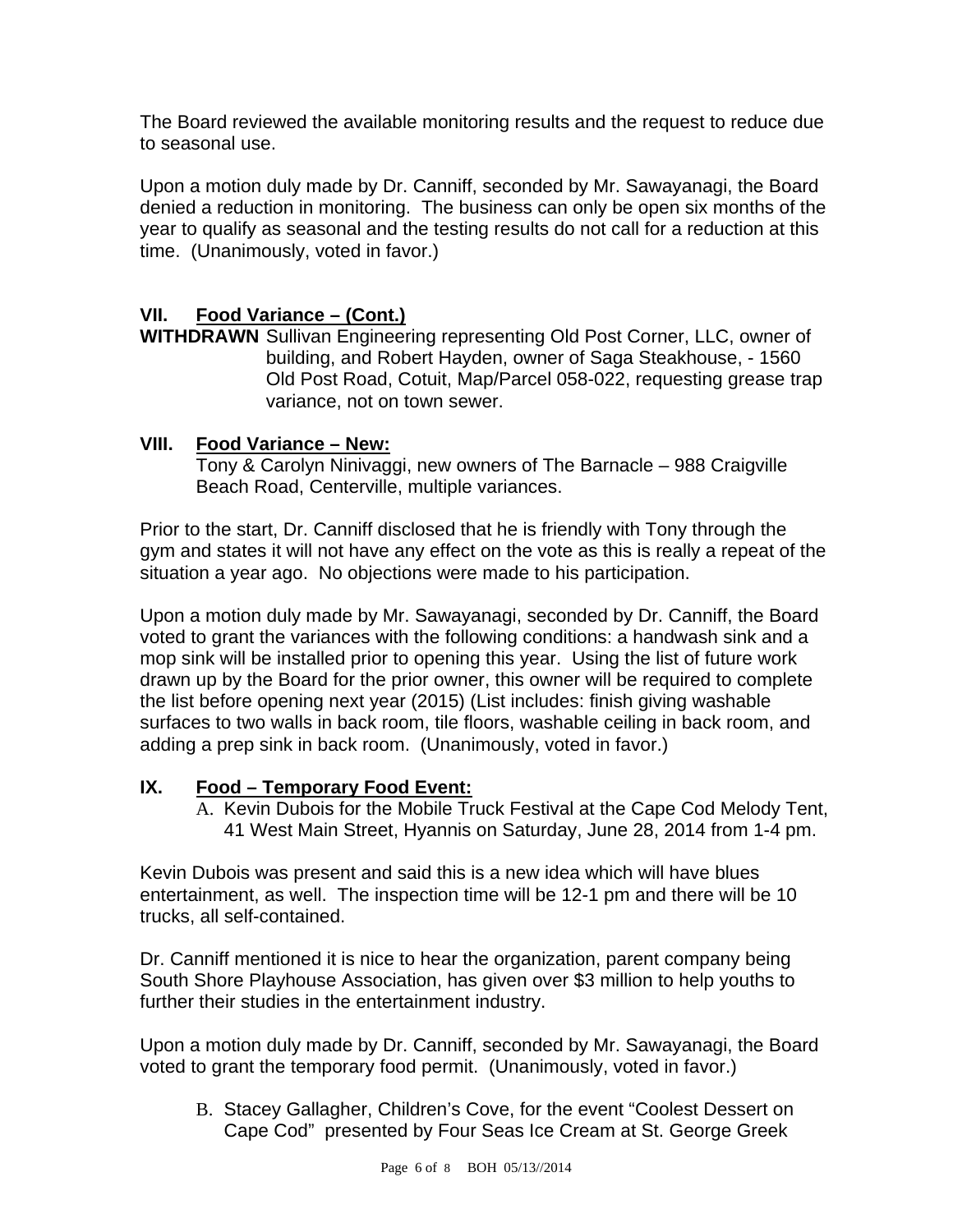The Board reviewed the available monitoring results and the request to reduce due to seasonal use.

Upon a motion duly made by Dr. Canniff, seconded by Mr. Sawayanagi, the Board denied a reduction in monitoring. The business can only be open six months of the year to qualify as seasonal and the testing results do not call for a reduction at this time. (Unanimously, voted in favor.)

## **VII. Food Variance – (Cont.)**

**WITHDRAWN** Sullivan Engineering representing Old Post Corner, LLC, owner of building, and Robert Hayden, owner of Saga Steakhouse, - 1560 Old Post Road, Cotuit, Map/Parcel 058-022, requesting grease trap variance, not on town sewer.

#### **VIII. Food Variance – New:**

Tony & Carolyn Ninivaggi, new owners of The Barnacle – 988 Craigville Beach Road, Centerville, multiple variances.

Prior to the start, Dr. Canniff disclosed that he is friendly with Tony through the gym and states it will not have any effect on the vote as this is really a repeat of the situation a year ago. No objections were made to his participation.

Upon a motion duly made by Mr. Sawayanagi, seconded by Dr. Canniff, the Board voted to grant the variances with the following conditions: a handwash sink and a mop sink will be installed prior to opening this year. Using the list of future work drawn up by the Board for the prior owner, this owner will be required to complete the list before opening next year (2015) (List includes: finish giving washable surfaces to two walls in back room, tile floors, washable ceiling in back room, and adding a prep sink in back room. (Unanimously, voted in favor.)

#### **IX. Food – Temporary Food Event:**

A. Kevin Dubois for the Mobile Truck Festival at the Cape Cod Melody Tent, 41 West Main Street, Hyannis on Saturday, June 28, 2014 from 1-4 pm.

Kevin Dubois was present and said this is a new idea which will have blues entertainment, as well. The inspection time will be 12-1 pm and there will be 10 trucks, all self-contained.

Dr. Canniff mentioned it is nice to hear the organization, parent company being South Shore Playhouse Association, has given over \$3 million to help youths to further their studies in the entertainment industry.

Upon a motion duly made by Dr. Canniff, seconded by Mr. Sawayanagi, the Board voted to grant the temporary food permit. (Unanimously, voted in favor.)

B. Stacey Gallagher, Children's Cove, for the event "Coolest Dessert on Cape Cod" presented by Four Seas Ice Cream at St. George Greek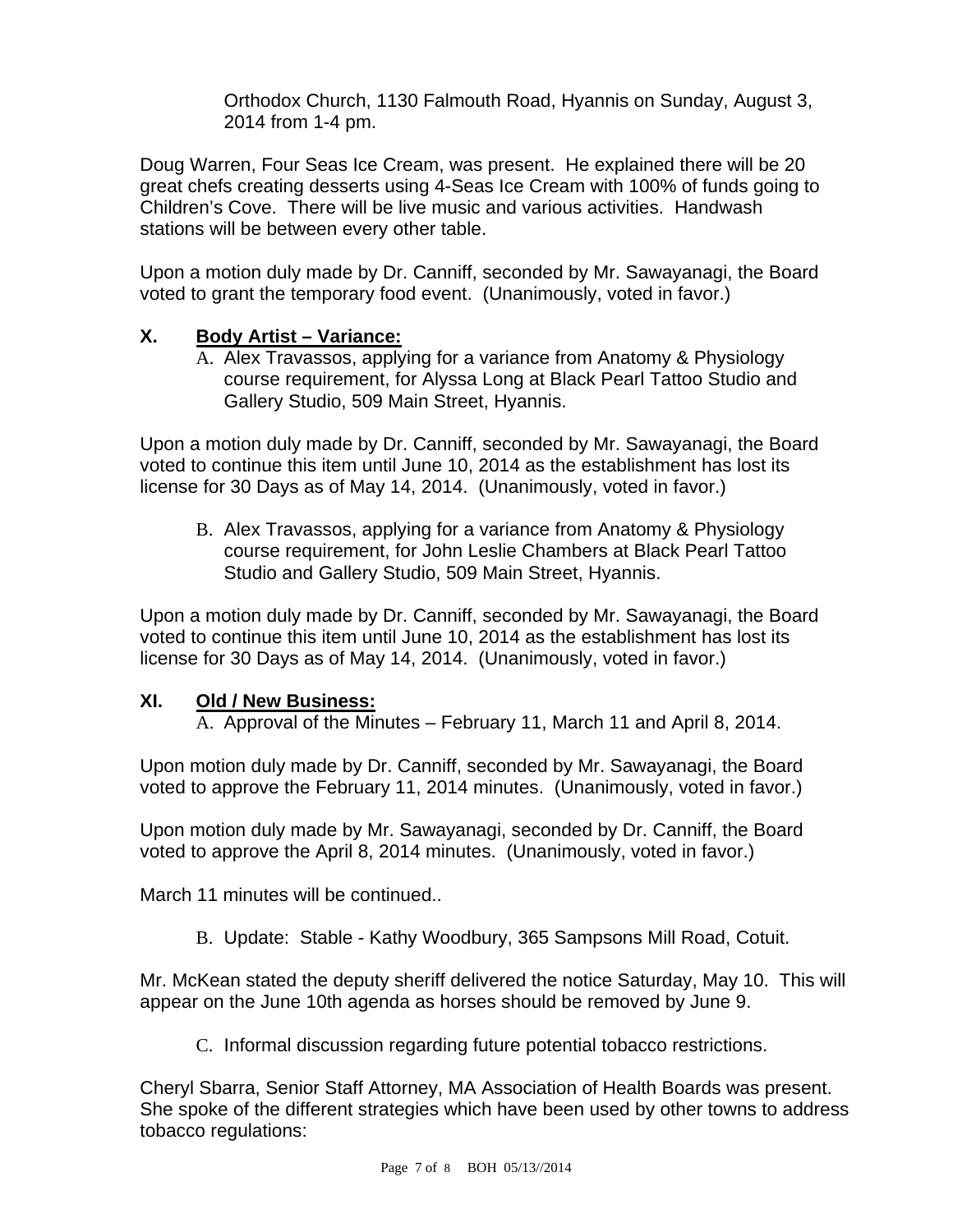Orthodox Church, 1130 Falmouth Road, Hyannis on Sunday, August 3, 2014 from 1-4 pm.

Doug Warren, Four Seas Ice Cream, was present. He explained there will be 20 great chefs creating desserts using 4-Seas Ice Cream with 100% of funds going to Children's Cove. There will be live music and various activities. Handwash stations will be between every other table.

Upon a motion duly made by Dr. Canniff, seconded by Mr. Sawayanagi, the Board voted to grant the temporary food event. (Unanimously, voted in favor.)

## **X. Body Artist – Variance:**

A. Alex Travassos, applying for a variance from Anatomy & Physiology course requirement, for Alyssa Long at Black Pearl Tattoo Studio and Gallery Studio, 509 Main Street, Hyannis.

Upon a motion duly made by Dr. Canniff, seconded by Mr. Sawayanagi, the Board voted to continue this item until June 10, 2014 as the establishment has lost its license for 30 Days as of May 14, 2014. (Unanimously, voted in favor.)

B. Alex Travassos, applying for a variance from Anatomy & Physiology course requirement, for John Leslie Chambers at Black Pearl Tattoo Studio and Gallery Studio, 509 Main Street, Hyannis.

Upon a motion duly made by Dr. Canniff, seconded by Mr. Sawayanagi, the Board voted to continue this item until June 10, 2014 as the establishment has lost its license for 30 Days as of May 14, 2014. (Unanimously, voted in favor.)

#### **XI. Old / New Business:**

A. Approval of the Minutes – February 11, March 11 and April 8, 2014.

Upon motion duly made by Dr. Canniff, seconded by Mr. Sawayanagi, the Board voted to approve the February 11, 2014 minutes. (Unanimously, voted in favor.)

Upon motion duly made by Mr. Sawayanagi, seconded by Dr. Canniff, the Board voted to approve the April 8, 2014 minutes. (Unanimously, voted in favor.)

March 11 minutes will be continued..

B. Update: Stable - Kathy Woodbury, 365 Sampsons Mill Road, Cotuit.

Mr. McKean stated the deputy sheriff delivered the notice Saturday, May 10. This will appear on the June 10th agenda as horses should be removed by June 9.

C. Informal discussion regarding future potential tobacco restrictions.

Cheryl Sbarra, Senior Staff Attorney, MA Association of Health Boards was present. She spoke of the different strategies which have been used by other towns to address tobacco regulations: